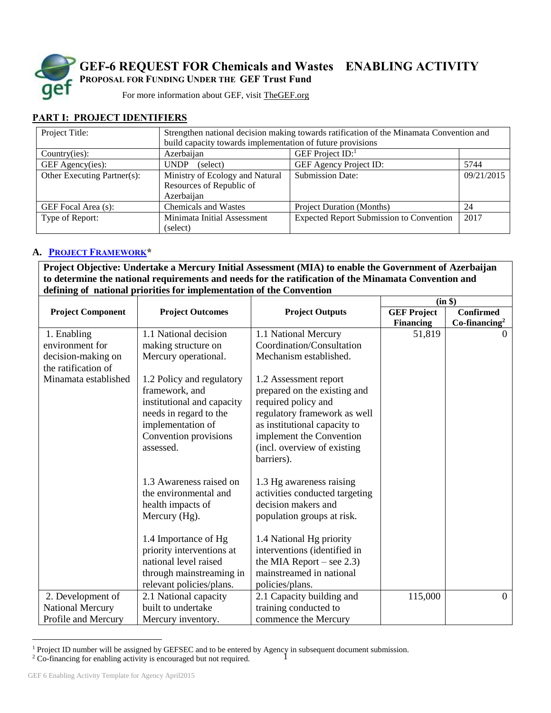

**GEF-6 REQUEST FOR Chemicals and Wastes ENABLING ACTIVITY PROPOSAL FOR FUNDING UNDER THE GEF Trust Fund**

For more information about GEF, visit [TheGEF.org](http://www.thegef.org/gef/home)

### **PART I: PROJECT IDENTIFIERS**

| Project Title:              | Strengthen national decision making towards ratification of the Minamata Convention and |                                                 |            |
|-----------------------------|-----------------------------------------------------------------------------------------|-------------------------------------------------|------------|
|                             | build capacity towards implementation of future provisions                              |                                                 |            |
| Country(ies):               | GEF Project $ID$ :<br>Azerbaijan                                                        |                                                 |            |
| GEF Agency(ies):            | <b>UNDP</b><br>(select)                                                                 | GEF Agency Project ID:                          | 5744       |
| Other Executing Partner(s): | Ministry of Ecology and Natural                                                         | <b>Submission Date:</b>                         | 09/21/2015 |
|                             | Resources of Republic of                                                                |                                                 |            |
|                             | Azerbaijan                                                                              |                                                 |            |
| GEF Focal Area (s):         | <b>Chemicals and Wastes</b>                                                             | <b>Project Duration (Months)</b>                | -24        |
| Type of Report:             | Minimata Initial Assessment                                                             | <b>Expected Report Submission to Convention</b> | 2017       |
|                             | (select)                                                                                |                                                 |            |

### **A. PROJECT F[RAMEWORK](https://www.thegef.org/gef/sites/thegef.org/files/documents/document/GEF6%20Results%20Framework%20for%20GEFTF%20and%20LDCF.SCCF_.pdf)\***

**Project Objective: Undertake a Mercury Initial Assessment (MIA) to enable the Government of Azerbaijan to determine the national requirements and needs for the ratification of the Minamata Convention and defining of national priorities for implementation of the Convention**

|                          |                                                                                                                                                                |                                                                                                                                                                                                                       |                    | (in \$)          |
|--------------------------|----------------------------------------------------------------------------------------------------------------------------------------------------------------|-----------------------------------------------------------------------------------------------------------------------------------------------------------------------------------------------------------------------|--------------------|------------------|
| <b>Project Component</b> | <b>Project Outcomes</b>                                                                                                                                        | <b>Project Outputs</b>                                                                                                                                                                                                | <b>GEF Project</b> | <b>Confirmed</b> |
|                          |                                                                                                                                                                |                                                                                                                                                                                                                       | <b>Financing</b>   | $Co-financing2$  |
| 1. Enabling              | 1.1 National decision                                                                                                                                          | 1.1 National Mercury                                                                                                                                                                                                  | 51,819             | $\Omega$         |
| environment for          | making structure on                                                                                                                                            | Coordination/Consultation                                                                                                                                                                                             |                    |                  |
| decision-making on       | Mercury operational.                                                                                                                                           | Mechanism established.                                                                                                                                                                                                |                    |                  |
| the ratification of      |                                                                                                                                                                |                                                                                                                                                                                                                       |                    |                  |
| Minamata established     | 1.2 Policy and regulatory<br>framework, and<br>institutional and capacity<br>needs in regard to the<br>implementation of<br>Convention provisions<br>assessed. | 1.2 Assessment report<br>prepared on the existing and<br>required policy and<br>regulatory framework as well<br>as institutional capacity to<br>implement the Convention<br>(incl. overview of existing<br>barriers). |                    |                  |
|                          | 1.3 Awareness raised on<br>the environmental and<br>health impacts of<br>Mercury (Hg).                                                                         | 1.3 Hg awareness raising<br>activities conducted targeting<br>decision makers and<br>population groups at risk.                                                                                                       |                    |                  |
|                          | 1.4 Importance of Hg<br>priority interventions at<br>national level raised<br>through mainstreaming in<br>relevant policies/plans.                             | 1.4 National Hg priority<br>interventions (identified in<br>the MIA Report $-$ see 2.3)<br>mainstreamed in national<br>policies/plans.                                                                                |                    |                  |
| 2. Development of        | 2.1 National capacity                                                                                                                                          | 2.1 Capacity building and                                                                                                                                                                                             | 115,000            | $\theta$         |
| <b>National Mercury</b>  | built to undertake                                                                                                                                             | training conducted to                                                                                                                                                                                                 |                    |                  |
| Profile and Mercury      | Mercury inventory.                                                                                                                                             | commence the Mercury                                                                                                                                                                                                  |                    |                  |

<sup>1</sup> <sup>1</sup> Project ID number will be assigned by GEFSEC and to be entered by Agency in subsequent document submission.

 $\overline{a}$ 

<sup>&</sup>lt;sup>2</sup> Co-financing for enabling activity is encouraged but not required.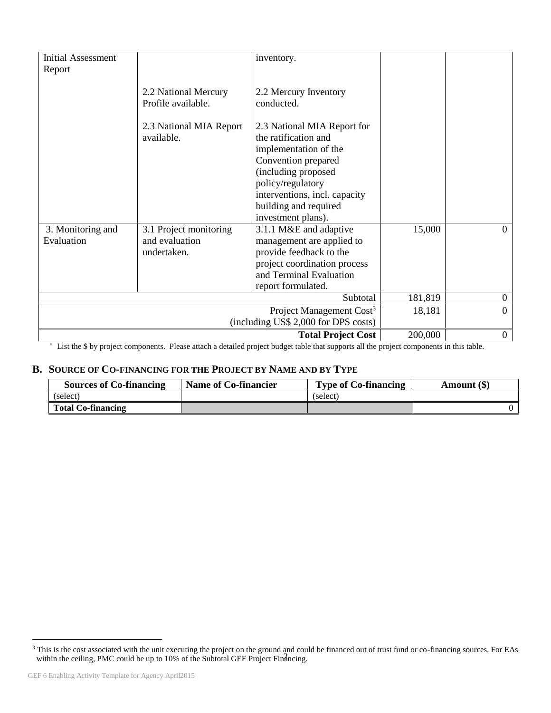| <b>Initial Assessment</b> |                                                                                                    | inventory.                                                                                                                                                                       |         |                  |
|---------------------------|----------------------------------------------------------------------------------------------------|----------------------------------------------------------------------------------------------------------------------------------------------------------------------------------|---------|------------------|
| Report                    |                                                                                                    |                                                                                                                                                                                  |         |                  |
|                           |                                                                                                    |                                                                                                                                                                                  |         |                  |
|                           | 2.2 National Mercury                                                                               | 2.2 Mercury Inventory                                                                                                                                                            |         |                  |
|                           | Profile available.                                                                                 | conducted.                                                                                                                                                                       |         |                  |
|                           | 2.3 National MIA Report<br>available.                                                              | 2.3 National MIA Report for<br>the ratification and<br>implementation of the<br>Convention prepared<br>(including proposed<br>policy/regulatory<br>interventions, incl. capacity |         |                  |
|                           |                                                                                                    | building and required                                                                                                                                                            |         |                  |
|                           |                                                                                                    | investment plans).                                                                                                                                                               |         |                  |
| 3. Monitoring and         | 3.1 Project monitoring                                                                             | 3.1.1 M&E and adaptive                                                                                                                                                           | 15,000  | $\Omega$         |
| Evaluation                | and evaluation                                                                                     | management are applied to                                                                                                                                                        |         |                  |
|                           | undertaken.                                                                                        | provide feedback to the                                                                                                                                                          |         |                  |
|                           |                                                                                                    | project coordination process                                                                                                                                                     |         |                  |
|                           |                                                                                                    | and Terminal Evaluation                                                                                                                                                          |         |                  |
|                           |                                                                                                    | report formulated.                                                                                                                                                               |         |                  |
|                           |                                                                                                    | Subtotal                                                                                                                                                                         | 181,819 | $\boldsymbol{0}$ |
|                           | Project Management Cost <sup>3</sup><br>$\Omega$<br>18,181<br>(including US\$ 2,000 for DPS costs) |                                                                                                                                                                                  |         |                  |
|                           |                                                                                                    | <b>Total Project Cost</b>                                                                                                                                                        | 200,000 | $\overline{0}$   |

\* List the \$ by project components. Please attach a detailed project budget table that supports all the project components in this table.

### **B. SOURCE OF CO-[FINANCING](http://gefweb.org/Documents/Council_Documents/GEF_C21/C.20.6.Rev.1.pdf) FOR THE PROJECT BY NAME AND BY TYPE**

| <b>Sources of Co-financing</b> | Name of Co-financier | <b>Type of Co-financing</b> | Amount (\$) |
|--------------------------------|----------------------|-----------------------------|-------------|
| (select)                       |                      | (select)                    |             |
| <b>Total Co-financing</b>      |                      |                             |             |

 $\overline{a}$ 

within the ceiling, PMC could be up to 10% of the Subtotal GEF Project Financing.  $3$  This is the cost associated with the unit executing the project on the ground and could be financed out of trust fund or co-financing sources. For EAs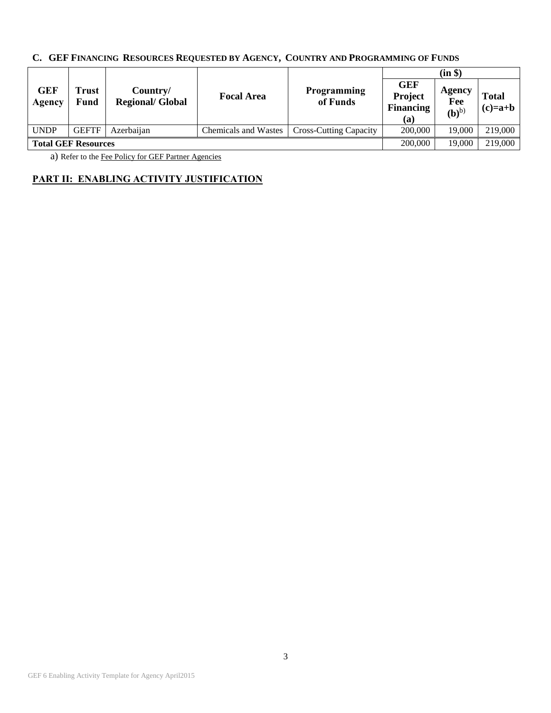# **C. GEF FINANCING RESOURCES REQUESTED BY AGENCY, COUNTRY AND PROGRAMMING OF FUNDS**

|                            |               |                                     |                             |                                |                                                  | (in \$)                           |                           |
|----------------------------|---------------|-------------------------------------|-----------------------------|--------------------------------|--------------------------------------------------|-----------------------------------|---------------------------|
| <b>GEF</b><br>Agency       | Frust<br>Fund | Country/<br><b>Regional/ Global</b> | <b>Focal Area</b>           | <b>Programming</b><br>of Funds | <b>GEF</b><br>Project<br><b>Financing</b><br>(a) | Agency<br>Fee<br>(b) <sup>b</sup> | <b>Total</b><br>$(c)=a+b$ |
| <b>UNDP</b>                | <b>GEFTF</b>  | Azerbaijan                          | <b>Chemicals and Wastes</b> | <b>Cross-Cutting Capacity</b>  | 200,000                                          | 19.000                            | 219,000                   |
| <b>Total GEF Resources</b> |               |                                     | 200,000                     | 19.000                         | 219,000                                          |                                   |                           |

a) Refer to the [Fee Policy for GEF Partner Agencies](http://www.thegef.org/gef/sites/thegef.org/files/documents/document/gef-fee-policy.pdf)

## **PART II: ENABLING ACTIVITY JUSTIFICATION**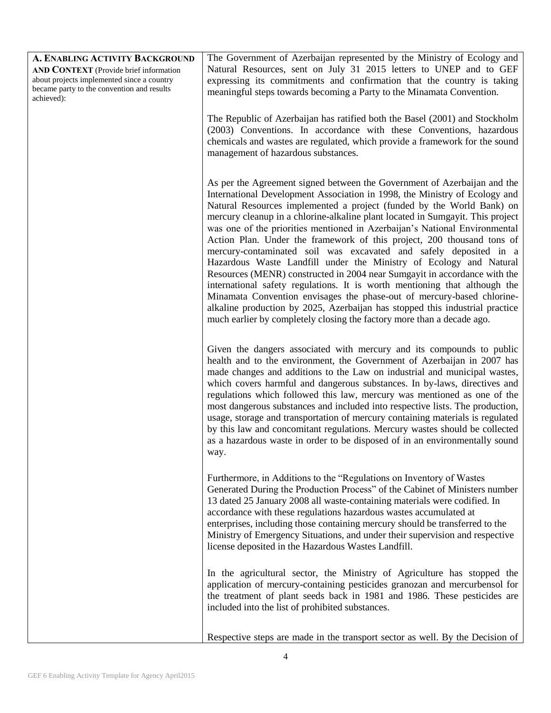| A. ENABLING ACTIVITY BACKGROUND                                                                                                                  | The Government of Azerbaijan represented by the Ministry of Ecology and                                                                                                                                                                                                                                                                                                                                                                                                                                                                                                                                                                                                                                                                                                                                                                                                                                                                                                                                             |
|--------------------------------------------------------------------------------------------------------------------------------------------------|---------------------------------------------------------------------------------------------------------------------------------------------------------------------------------------------------------------------------------------------------------------------------------------------------------------------------------------------------------------------------------------------------------------------------------------------------------------------------------------------------------------------------------------------------------------------------------------------------------------------------------------------------------------------------------------------------------------------------------------------------------------------------------------------------------------------------------------------------------------------------------------------------------------------------------------------------------------------------------------------------------------------|
| AND CONTEXT (Provide brief information<br>about projects implemented since a country<br>became party to the convention and results<br>achieved): | Natural Resources, sent on July 31 2015 letters to UNEP and to GEF<br>expressing its commitments and confirmation that the country is taking<br>meaningful steps towards becoming a Party to the Minamata Convention.                                                                                                                                                                                                                                                                                                                                                                                                                                                                                                                                                                                                                                                                                                                                                                                               |
|                                                                                                                                                  | The Republic of Azerbaijan has ratified both the Basel (2001) and Stockholm<br>(2003) Conventions. In accordance with these Conventions, hazardous<br>chemicals and wastes are regulated, which provide a framework for the sound<br>management of hazardous substances.                                                                                                                                                                                                                                                                                                                                                                                                                                                                                                                                                                                                                                                                                                                                            |
|                                                                                                                                                  | As per the Agreement signed between the Government of Azerbaijan and the<br>International Development Association in 1998, the Ministry of Ecology and<br>Natural Resources implemented a project (funded by the World Bank) on<br>mercury cleanup in a chlorine-alkaline plant located in Sumgayit. This project<br>was one of the priorities mentioned in Azerbaijan's National Environmental<br>Action Plan. Under the framework of this project, 200 thousand tons of<br>mercury-contaminated soil was excavated and safely deposited in a<br>Hazardous Waste Landfill under the Ministry of Ecology and Natural<br>Resources (MENR) constructed in 2004 near Sumgayit in accordance with the<br>international safety regulations. It is worth mentioning that although the<br>Minamata Convention envisages the phase-out of mercury-based chlorine-<br>alkaline production by 2025, Azerbaijan has stopped this industrial practice<br>much earlier by completely closing the factory more than a decade ago. |
|                                                                                                                                                  | Given the dangers associated with mercury and its compounds to public<br>health and to the environment, the Government of Azerbaijan in 2007 has<br>made changes and additions to the Law on industrial and municipal wastes,<br>which covers harmful and dangerous substances. In by-laws, directives and<br>regulations which followed this law, mercury was mentioned as one of the<br>most dangerous substances and included into respective lists. The production,<br>usage, storage and transportation of mercury containing materials is regulated<br>by this law and concomitant regulations. Mercury wastes should be collected<br>as a hazardous waste in order to be disposed of in an environmentally sound<br>way.                                                                                                                                                                                                                                                                                     |
|                                                                                                                                                  | Furthermore, in Additions to the "Regulations on Inventory of Wastes<br>Generated During the Production Process" of the Cabinet of Ministers number<br>13 dated 25 January 2008 all waste-containing materials were codified. In<br>accordance with these regulations hazardous wastes accumulated at<br>enterprises, including those containing mercury should be transferred to the<br>Ministry of Emergency Situations, and under their supervision and respective<br>license deposited in the Hazardous Wastes Landfill.                                                                                                                                                                                                                                                                                                                                                                                                                                                                                        |
|                                                                                                                                                  | In the agricultural sector, the Ministry of Agriculture has stopped the<br>application of mercury-containing pesticides granozan and mercurbensol for<br>the treatment of plant seeds back in 1981 and 1986. These pesticides are<br>included into the list of prohibited substances.                                                                                                                                                                                                                                                                                                                                                                                                                                                                                                                                                                                                                                                                                                                               |
|                                                                                                                                                  | Respective steps are made in the transport sector as well. By the Decision of                                                                                                                                                                                                                                                                                                                                                                                                                                                                                                                                                                                                                                                                                                                                                                                                                                                                                                                                       |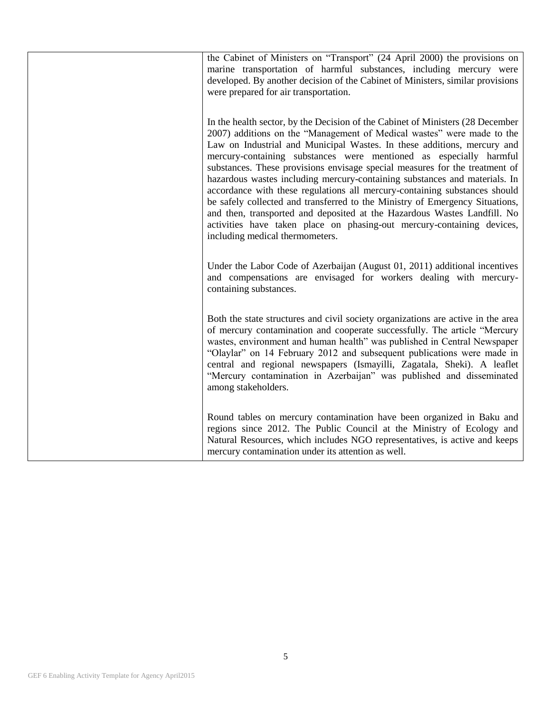| the Cabinet of Ministers on "Transport" (24 April 2000) the provisions on<br>marine transportation of harmful substances, including mercury were<br>developed. By another decision of the Cabinet of Ministers, similar provisions<br>were prepared for air transportation.                                                                                                                                                                                                                                                                                                                                                                                                                                                                                                                                                   |
|-------------------------------------------------------------------------------------------------------------------------------------------------------------------------------------------------------------------------------------------------------------------------------------------------------------------------------------------------------------------------------------------------------------------------------------------------------------------------------------------------------------------------------------------------------------------------------------------------------------------------------------------------------------------------------------------------------------------------------------------------------------------------------------------------------------------------------|
| In the health sector, by the Decision of the Cabinet of Ministers (28 December<br>2007) additions on the "Management of Medical wastes" were made to the<br>Law on Industrial and Municipal Wastes. In these additions, mercury and<br>mercury-containing substances were mentioned as especially harmful<br>substances. These provisions envisage special measures for the treatment of<br>hazardous wastes including mercury-containing substances and materials. In<br>accordance with these regulations all mercury-containing substances should<br>be safely collected and transferred to the Ministry of Emergency Situations,<br>and then, transported and deposited at the Hazardous Wastes Landfill. No<br>activities have taken place on phasing-out mercury-containing devices,<br>including medical thermometers. |
| Under the Labor Code of Azerbaijan (August 01, 2011) additional incentives<br>and compensations are envisaged for workers dealing with mercury-<br>containing substances.                                                                                                                                                                                                                                                                                                                                                                                                                                                                                                                                                                                                                                                     |
| Both the state structures and civil society organizations are active in the area<br>of mercury contamination and cooperate successfully. The article "Mercury<br>wastes, environment and human health" was published in Central Newspaper<br>"Olaylar" on 14 February 2012 and subsequent publications were made in<br>central and regional newspapers (Ismayilli, Zagatala, Sheki). A leaflet<br>"Mercury contamination in Azerbaijan" was published and disseminated<br>among stakeholders.                                                                                                                                                                                                                                                                                                                                 |
| Round tables on mercury contamination have been organized in Baku and<br>regions since 2012. The Public Council at the Ministry of Ecology and<br>Natural Resources, which includes NGO representatives, is active and keeps<br>mercury contamination under its attention as well.                                                                                                                                                                                                                                                                                                                                                                                                                                                                                                                                            |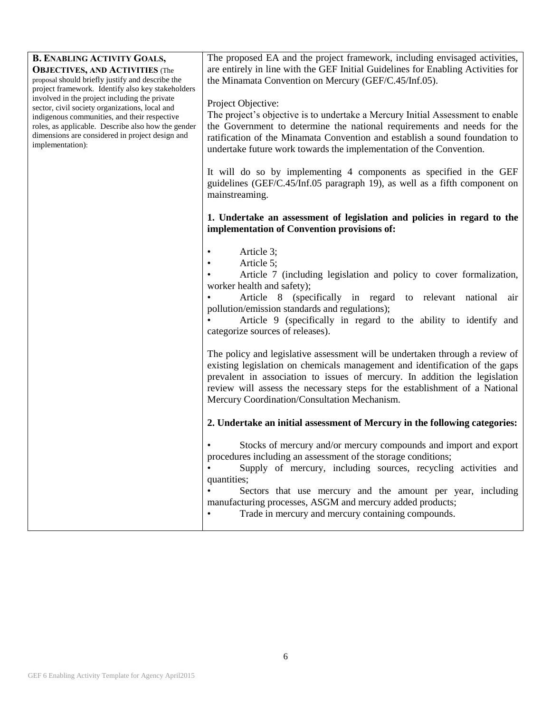| <b>B. ENABLING ACTIVITY GOALS,</b><br><b>OBJECTIVES, AND ACTIVITIES</b> (The<br>proposal should briefly justify and describe the<br>project framework. Identify also key stakeholders<br>involved in the project including the private<br>sector, civil society organizations, local and<br>indigenous communities, and their respective<br>roles, as applicable. Describe also how the gender<br>dimensions are considered in project design and<br>implementation): | The proposed EA and the project framework, including envisaged activities,<br>are entirely in line with the GEF Initial Guidelines for Enabling Activities for<br>the Minamata Convention on Mercury (GEF/C.45/Inf.05).                                                                                                                                                                                                                                                                                                                                                                                         |
|-----------------------------------------------------------------------------------------------------------------------------------------------------------------------------------------------------------------------------------------------------------------------------------------------------------------------------------------------------------------------------------------------------------------------------------------------------------------------|-----------------------------------------------------------------------------------------------------------------------------------------------------------------------------------------------------------------------------------------------------------------------------------------------------------------------------------------------------------------------------------------------------------------------------------------------------------------------------------------------------------------------------------------------------------------------------------------------------------------|
|                                                                                                                                                                                                                                                                                                                                                                                                                                                                       | Project Objective:<br>The project's objective is to undertake a Mercury Initial Assessment to enable<br>the Government to determine the national requirements and needs for the<br>ratification of the Minamata Convention and establish a sound foundation to<br>undertake future work towards the implementation of the Convention.                                                                                                                                                                                                                                                                           |
|                                                                                                                                                                                                                                                                                                                                                                                                                                                                       | It will do so by implementing 4 components as specified in the GEF<br>guidelines (GEF/C.45/Inf.05 paragraph 19), as well as a fifth component on<br>mainstreaming.                                                                                                                                                                                                                                                                                                                                                                                                                                              |
|                                                                                                                                                                                                                                                                                                                                                                                                                                                                       | 1. Undertake an assessment of legislation and policies in regard to the<br>implementation of Convention provisions of:                                                                                                                                                                                                                                                                                                                                                                                                                                                                                          |
|                                                                                                                                                                                                                                                                                                                                                                                                                                                                       | Article 3;<br>Article 5;<br>$\bullet$<br>Article 7 (including legislation and policy to cover formalization,<br>worker health and safety);<br>Article 8 (specifically in regard to relevant national air<br>pollution/emission standards and regulations);<br>Article 9 (specifically in regard to the ability to identify and<br>categorize sources of releases).<br>The policy and legislative assessment will be undertaken through a review of<br>existing legislation on chemicals management and identification of the gaps<br>prevalent in association to issues of mercury. In addition the legislation |
|                                                                                                                                                                                                                                                                                                                                                                                                                                                                       | review will assess the necessary steps for the establishment of a National<br>Mercury Coordination/Consultation Mechanism.<br>2. Undertake an initial assessment of Mercury in the following categories:                                                                                                                                                                                                                                                                                                                                                                                                        |
|                                                                                                                                                                                                                                                                                                                                                                                                                                                                       |                                                                                                                                                                                                                                                                                                                                                                                                                                                                                                                                                                                                                 |
|                                                                                                                                                                                                                                                                                                                                                                                                                                                                       | Stocks of mercury and/or mercury compounds and import and export<br>procedures including an assessment of the storage conditions;<br>Supply of mercury, including sources, recycling activities and<br>quantities;<br>Sectors that use mercury and the amount per year, including<br>manufacturing processes, ASGM and mercury added products;<br>Trade in mercury and mercury containing compounds.                                                                                                                                                                                                            |
|                                                                                                                                                                                                                                                                                                                                                                                                                                                                       |                                                                                                                                                                                                                                                                                                                                                                                                                                                                                                                                                                                                                 |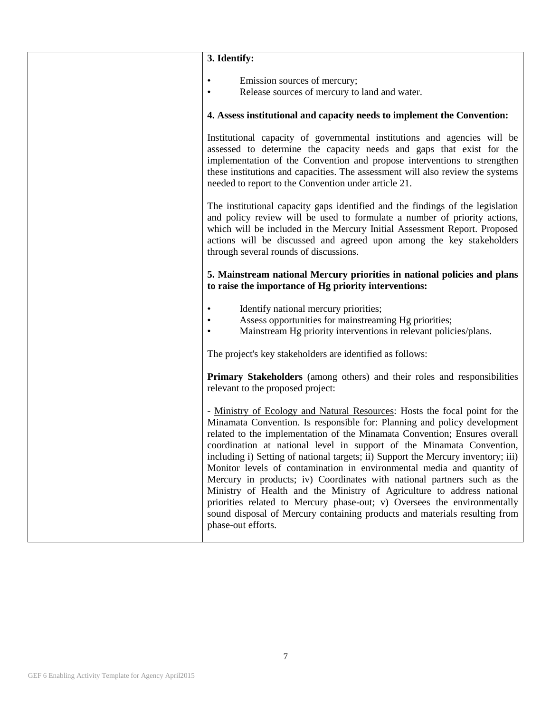| 3. Identify:                                                                                                                                                                                                                                                                                                                                                                                                                                                                                                                                                                                                                                                                                                                                                                                                     |
|------------------------------------------------------------------------------------------------------------------------------------------------------------------------------------------------------------------------------------------------------------------------------------------------------------------------------------------------------------------------------------------------------------------------------------------------------------------------------------------------------------------------------------------------------------------------------------------------------------------------------------------------------------------------------------------------------------------------------------------------------------------------------------------------------------------|
| Emission sources of mercury;<br>$\bullet$<br>Release sources of mercury to land and water.<br>٠                                                                                                                                                                                                                                                                                                                                                                                                                                                                                                                                                                                                                                                                                                                  |
| 4. Assess institutional and capacity needs to implement the Convention:                                                                                                                                                                                                                                                                                                                                                                                                                                                                                                                                                                                                                                                                                                                                          |
| Institutional capacity of governmental institutions and agencies will be<br>assessed to determine the capacity needs and gaps that exist for the<br>implementation of the Convention and propose interventions to strengthen<br>these institutions and capacities. The assessment will also review the systems<br>needed to report to the Convention under article 21.                                                                                                                                                                                                                                                                                                                                                                                                                                           |
| The institutional capacity gaps identified and the findings of the legislation<br>and policy review will be used to formulate a number of priority actions,<br>which will be included in the Mercury Initial Assessment Report. Proposed<br>actions will be discussed and agreed upon among the key stakeholders<br>through several rounds of discussions.                                                                                                                                                                                                                                                                                                                                                                                                                                                       |
| 5. Mainstream national Mercury priorities in national policies and plans<br>to raise the importance of Hg priority interventions:                                                                                                                                                                                                                                                                                                                                                                                                                                                                                                                                                                                                                                                                                |
| Identify national mercury priorities;<br>Assess opportunities for mainstreaming Hg priorities;<br>Mainstream Hg priority interventions in relevant policies/plans.                                                                                                                                                                                                                                                                                                                                                                                                                                                                                                                                                                                                                                               |
| The project's key stakeholders are identified as follows:                                                                                                                                                                                                                                                                                                                                                                                                                                                                                                                                                                                                                                                                                                                                                        |
| <b>Primary Stakeholders</b> (among others) and their roles and responsibilities<br>relevant to the proposed project:                                                                                                                                                                                                                                                                                                                                                                                                                                                                                                                                                                                                                                                                                             |
| - Ministry of Ecology and Natural Resources: Hosts the focal point for the<br>Minamata Convention. Is responsible for: Planning and policy development<br>related to the implementation of the Minamata Convention; Ensures overall<br>coordination at national level in support of the Minamata Convention,<br>including i) Setting of national targets; ii) Support the Mercury inventory; iii)<br>Monitor levels of contamination in environmental media and quantity of<br>Mercury in products; iv) Coordinates with national partners such as the<br>Ministry of Health and the Ministry of Agriculture to address national<br>priorities related to Mercury phase-out; v) Oversees the environmentally<br>sound disposal of Mercury containing products and materials resulting from<br>phase-out efforts. |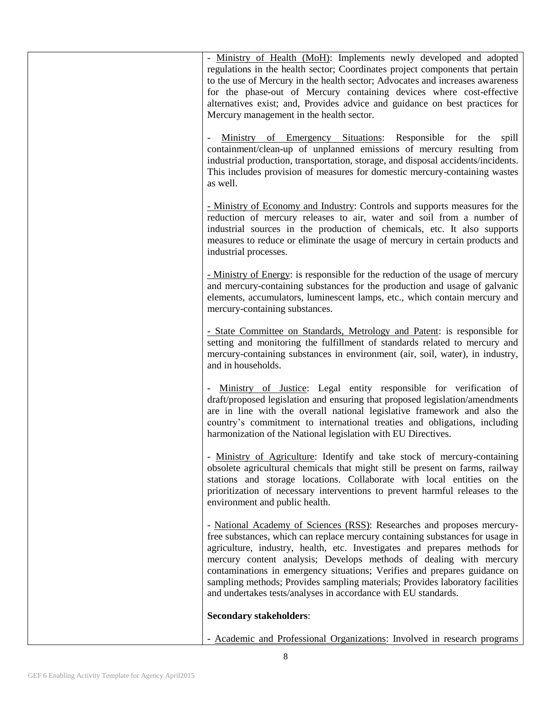| - Ministry of Health (MoH): Implements newly developed and adopted<br>regulations in the health sector; Coordinates project components that pertain<br>to the use of Mercury in the health sector; Advocates and increases awareness<br>for the phase-out of Mercury containing devices where cost-effective<br>alternatives exist; and, Provides advice and guidance on best practices for<br>Mercury management in the health sector.                                                                                                    |
|--------------------------------------------------------------------------------------------------------------------------------------------------------------------------------------------------------------------------------------------------------------------------------------------------------------------------------------------------------------------------------------------------------------------------------------------------------------------------------------------------------------------------------------------|
| Ministry of Emergency Situations: Responsible for the<br>spill<br>containment/clean-up of unplanned emissions of mercury resulting from<br>industrial production, transportation, storage, and disposal accidents/incidents.<br>This includes provision of measures for domestic mercury-containing wastes<br>as well.                                                                                                                                                                                                                     |
| - Ministry of Economy and Industry: Controls and supports measures for the<br>reduction of mercury releases to air, water and soil from a number of<br>industrial sources in the production of chemicals, etc. It also supports<br>measures to reduce or eliminate the usage of mercury in certain products and<br>industrial processes.                                                                                                                                                                                                   |
| - Ministry of Energy: is responsible for the reduction of the usage of mercury<br>and mercury-containing substances for the production and usage of galvanic<br>elements, accumulators, luminescent lamps, etc., which contain mercury and<br>mercury-containing substances.                                                                                                                                                                                                                                                               |
| - State Committee on Standards, Metrology and Patent: is responsible for<br>setting and monitoring the fulfillment of standards related to mercury and<br>mercury-containing substances in environment (air, soil, water), in industry,<br>and in households.                                                                                                                                                                                                                                                                              |
| Ministry of Justice: Legal entity responsible for verification of<br>draft/proposed legislation and ensuring that proposed legislation/amendments<br>are in line with the overall national legislative framework and also the<br>country's commitment to international treaties and obligations, including<br>harmonization of the National legislation with EU Directives.                                                                                                                                                                |
| - Ministry of Agriculture: Identify and take stock of mercury-containing<br>obsolete agricultural chemicals that might still be present on farms, railway<br>stations and storage locations. Collaborate with local entities on the<br>prioritization of necessary interventions to prevent harmful releases to the<br>environment and public health.                                                                                                                                                                                      |
| - National Academy of Sciences (RSS): Researches and proposes mercury-<br>free substances, which can replace mercury containing substances for usage in<br>agriculture, industry, health, etc. Investigates and prepares methods for<br>mercury content analysis; Develops methods of dealing with mercury<br>contaminations in emergency situations; Verifies and prepares guidance on<br>sampling methods; Provides sampling materials; Provides laboratory facilities<br>and undertakes tests/analyses in accordance with EU standards. |
| <b>Secondary stakeholders:</b>                                                                                                                                                                                                                                                                                                                                                                                                                                                                                                             |
| - Academic and Professional Organizations: Involved in research programs                                                                                                                                                                                                                                                                                                                                                                                                                                                                   |

- Academic and Professional Organizations: Involved in research programs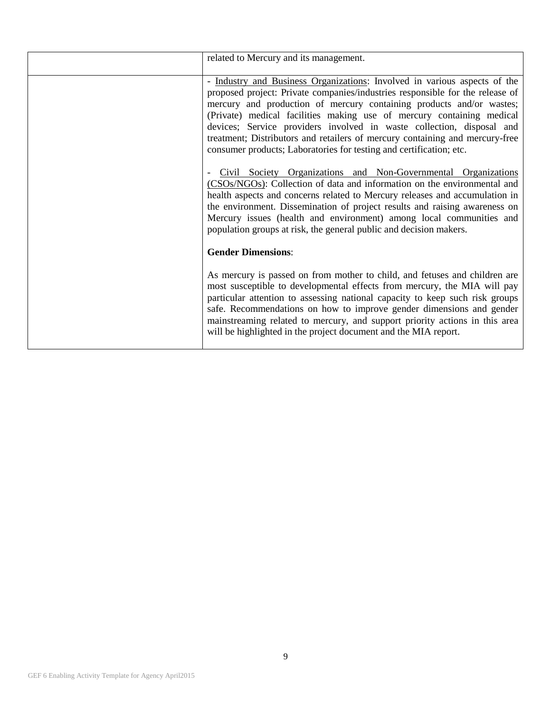| related to Mercury and its management.                                                                                                                                                                                                                                                                                                                                                                                                                                                                                                                                                                                                                                                                                                                                                                                                                                                                                                                                                                   |
|----------------------------------------------------------------------------------------------------------------------------------------------------------------------------------------------------------------------------------------------------------------------------------------------------------------------------------------------------------------------------------------------------------------------------------------------------------------------------------------------------------------------------------------------------------------------------------------------------------------------------------------------------------------------------------------------------------------------------------------------------------------------------------------------------------------------------------------------------------------------------------------------------------------------------------------------------------------------------------------------------------|
| - Industry and Business Organizations: Involved in various aspects of the<br>proposed project: Private companies/industries responsible for the release of<br>mercury and production of mercury containing products and/or wastes;<br>(Private) medical facilities making use of mercury containing medical<br>devices; Service providers involved in waste collection, disposal and<br>treatment; Distributors and retailers of mercury containing and mercury-free<br>consumer products; Laboratories for testing and certification; etc.<br>Civil Society Organizations and Non-Governmental Organizations<br>-<br>(CSOs/NGOs): Collection of data and information on the environmental and<br>health aspects and concerns related to Mercury releases and accumulation in<br>the environment. Dissemination of project results and raising awareness on<br>Mercury issues (health and environment) among local communities and<br>population groups at risk, the general public and decision makers. |
| <b>Gender Dimensions:</b>                                                                                                                                                                                                                                                                                                                                                                                                                                                                                                                                                                                                                                                                                                                                                                                                                                                                                                                                                                                |
| As mercury is passed on from mother to child, and fetuses and children are<br>most susceptible to developmental effects from mercury, the MIA will pay<br>particular attention to assessing national capacity to keep such risk groups<br>safe. Recommendations on how to improve gender dimensions and gender<br>mainstreaming related to mercury, and support priority actions in this area<br>will be highlighted in the project document and the MIA report.                                                                                                                                                                                                                                                                                                                                                                                                                                                                                                                                         |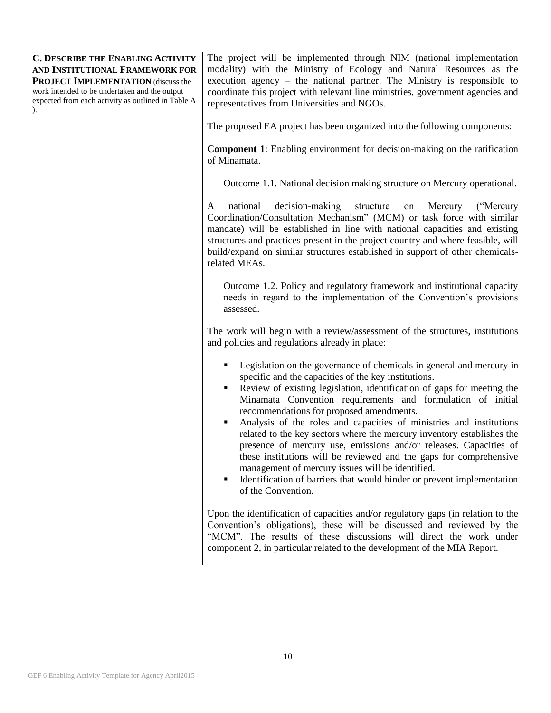| <b>C. DESCRIBE THE ENABLING ACTIVITY</b><br>AND INSTITUTIONAL FRAMEWORK FOR<br><b>PROJECT IMPLEMENTATION (discuss the</b><br>work intended to be undertaken and the output<br>expected from each activity as outlined in Table A | The project will be implemented through NIM (national implementation<br>modality) with the Ministry of Ecology and Natural Resources as the<br>execution agency - the national partner. The Ministry is responsible to<br>coordinate this project with relevant line ministries, government agencies and<br>representatives from Universities and NGOs.                                                                                                                                                                                                                                                                                                                                                                                                           |
|----------------------------------------------------------------------------------------------------------------------------------------------------------------------------------------------------------------------------------|-------------------------------------------------------------------------------------------------------------------------------------------------------------------------------------------------------------------------------------------------------------------------------------------------------------------------------------------------------------------------------------------------------------------------------------------------------------------------------------------------------------------------------------------------------------------------------------------------------------------------------------------------------------------------------------------------------------------------------------------------------------------|
|                                                                                                                                                                                                                                  | The proposed EA project has been organized into the following components:                                                                                                                                                                                                                                                                                                                                                                                                                                                                                                                                                                                                                                                                                         |
|                                                                                                                                                                                                                                  | <b>Component 1:</b> Enabling environment for decision-making on the ratification<br>of Minamata.                                                                                                                                                                                                                                                                                                                                                                                                                                                                                                                                                                                                                                                                  |
|                                                                                                                                                                                                                                  | <b>Outcome 1.1.</b> National decision making structure on Mercury operational.                                                                                                                                                                                                                                                                                                                                                                                                                                                                                                                                                                                                                                                                                    |
|                                                                                                                                                                                                                                  | decision-making<br>structure<br>national<br>Mercury<br>("Mercury")<br>A<br>on<br>Coordination/Consultation Mechanism" (MCM) or task force with similar<br>mandate) will be established in line with national capacities and existing<br>structures and practices present in the project country and where feasible, will<br>build/expand on similar structures established in support of other chemicals-<br>related MEAs.                                                                                                                                                                                                                                                                                                                                        |
|                                                                                                                                                                                                                                  | Outcome 1.2. Policy and regulatory framework and institutional capacity<br>needs in regard to the implementation of the Convention's provisions<br>assessed.                                                                                                                                                                                                                                                                                                                                                                                                                                                                                                                                                                                                      |
|                                                                                                                                                                                                                                  | The work will begin with a review/assessment of the structures, institutions<br>and policies and regulations already in place:                                                                                                                                                                                                                                                                                                                                                                                                                                                                                                                                                                                                                                    |
|                                                                                                                                                                                                                                  | Legislation on the governance of chemicals in general and mercury in<br>specific and the capacities of the key institutions.<br>Review of existing legislation, identification of gaps for meeting the<br>Minamata Convention requirements and formulation of initial<br>recommendations for proposed amendments.<br>Analysis of the roles and capacities of ministries and institutions<br>related to the key sectors where the mercury inventory establishes the<br>presence of mercury use, emissions and/or releases. Capacities of<br>these institutions will be reviewed and the gaps for comprehensive<br>management of mercury issues will be identified.<br>Identification of barriers that would hinder or prevent implementation<br>of the Convention. |
|                                                                                                                                                                                                                                  | Upon the identification of capacities and/or regulatory gaps (in relation to the<br>Convention's obligations), these will be discussed and reviewed by the<br>"MCM". The results of these discussions will direct the work under<br>component 2, in particular related to the development of the MIA Report.                                                                                                                                                                                                                                                                                                                                                                                                                                                      |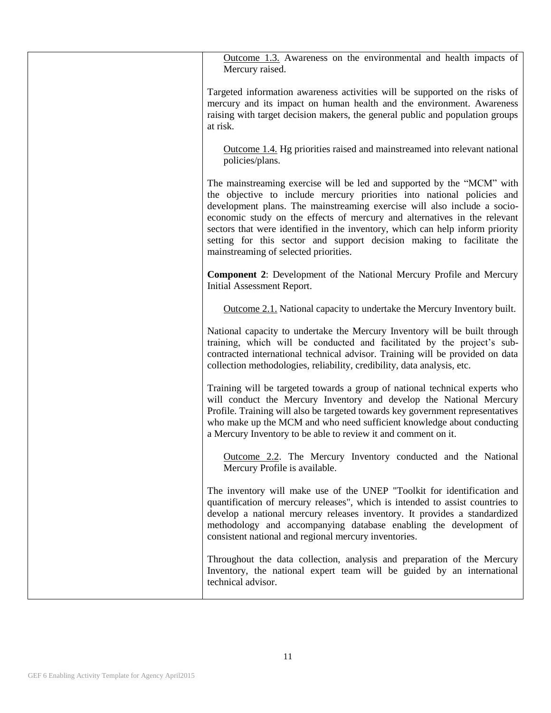Outcome 1.3. Awareness on the environmental and health impacts of Mercury raised.

Targeted information awareness activities will be supported on the risks of mercury and its impact on human health and the environment. Awareness raising with target decision makers, the general public and population groups at risk.

Outcome 1.4. Hg priorities raised and mainstreamed into relevant national policies/plans.

The mainstreaming exercise will be led and supported by the "MCM" with the objective to include mercury priorities into national policies and development plans. The mainstreaming exercise will also include a socioeconomic study on the effects of mercury and alternatives in the relevant sectors that were identified in the inventory, which can help inform priority setting for this sector and support decision making to facilitate the mainstreaming of selected priorities.

**Component 2**: Development of the National Mercury Profile and Mercury Initial Assessment Report.

Outcome 2.1. National capacity to undertake the Mercury Inventory built.

National capacity to undertake the Mercury Inventory will be built through training, which will be conducted and facilitated by the project's subcontracted international technical advisor. Training will be provided on data collection methodologies, reliability, credibility, data analysis, etc.

Training will be targeted towards a group of national technical experts who will conduct the Mercury Inventory and develop the National Mercury Profile. Training will also be targeted towards key government representatives who make up the MCM and who need sufficient knowledge about conducting a Mercury Inventory to be able to review it and comment on it.

Outcome 2.2. The Mercury Inventory conducted and the National Mercury Profile is available.

The inventory will make use of the UNEP "Toolkit for identification and quantification of mercury releases", which is intended to assist countries to develop a national mercury releases inventory. It provides a standardized methodology and accompanying database enabling the development of consistent national and regional mercury inventories.

Throughout the data collection, analysis and preparation of the Mercury Inventory, the national expert team will be guided by an international technical advisor.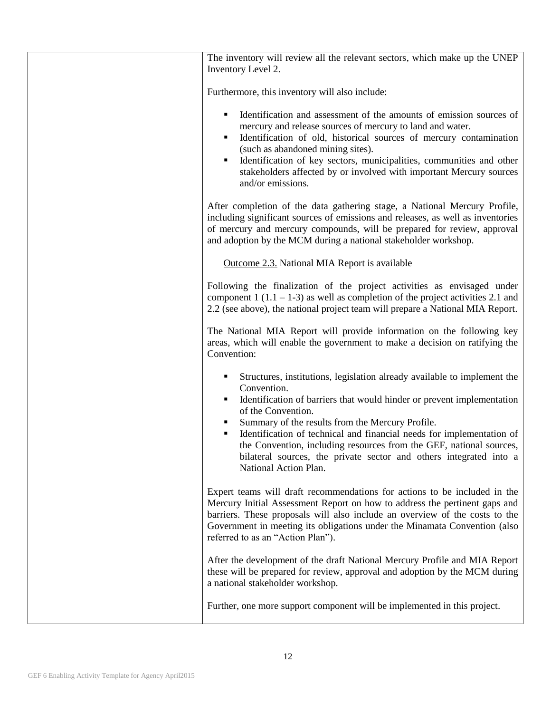| The inventory will review all the relevant sectors, which make up the UNEP<br>Inventory Level 2.                                                                                                                                                                                                                                                                                                                     |
|----------------------------------------------------------------------------------------------------------------------------------------------------------------------------------------------------------------------------------------------------------------------------------------------------------------------------------------------------------------------------------------------------------------------|
| Furthermore, this inventory will also include:                                                                                                                                                                                                                                                                                                                                                                       |
| Identification and assessment of the amounts of emission sources of<br>٠<br>mercury and release sources of mercury to land and water.<br>Identification of old, historical sources of mercury contamination<br>(such as abandoned mining sites).<br>Identification of key sectors, municipalities, communities and other<br>stakeholders affected by or involved with important Mercury sources<br>and/or emissions. |
| After completion of the data gathering stage, a National Mercury Profile,<br>including significant sources of emissions and releases, as well as inventories<br>of mercury and mercury compounds, will be prepared for review, approval<br>and adoption by the MCM during a national stakeholder workshop.                                                                                                           |
| Outcome 2.3. National MIA Report is available                                                                                                                                                                                                                                                                                                                                                                        |
| Following the finalization of the project activities as envisaged under<br>component $1(1.1 - 1.3)$ as well as completion of the project activities 2.1 and<br>2.2 (see above), the national project team will prepare a National MIA Report.                                                                                                                                                                        |
| The National MIA Report will provide information on the following key<br>areas, which will enable the government to make a decision on ratifying the<br>Convention:                                                                                                                                                                                                                                                  |
| Structures, institutions, legislation already available to implement the<br>Convention.<br>Identification of barriers that would hinder or prevent implementation<br>of the Convention.<br>Summary of the results from the Mercury Profile.<br>Identification of technical and financial needs for implementation of<br>the Convention, including resources from the GEF, national sources,                          |
| bilateral sources, the private sector and others integrated into a<br>National Action Plan.                                                                                                                                                                                                                                                                                                                          |
| Expert teams will draft recommendations for actions to be included in the<br>Mercury Initial Assessment Report on how to address the pertinent gaps and<br>barriers. These proposals will also include an overview of the costs to the<br>Government in meeting its obligations under the Minamata Convention (also<br>referred to as an "Action Plan").                                                             |
| After the development of the draft National Mercury Profile and MIA Report<br>these will be prepared for review, approval and adoption by the MCM during<br>a national stakeholder workshop.                                                                                                                                                                                                                         |
| Further, one more support component will be implemented in this project.                                                                                                                                                                                                                                                                                                                                             |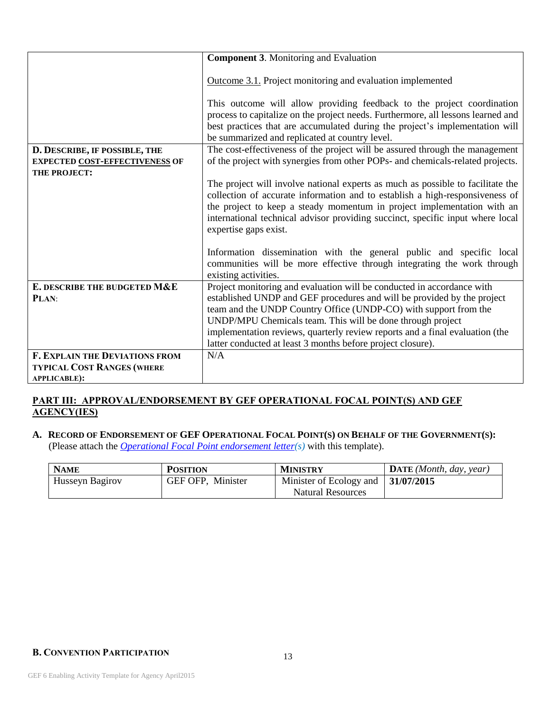|                                       | <b>Component 3. Monitoring and Evaluation</b>                                                                                                                                                                                                                                                                                                                                                                                                                                                                                    |
|---------------------------------------|----------------------------------------------------------------------------------------------------------------------------------------------------------------------------------------------------------------------------------------------------------------------------------------------------------------------------------------------------------------------------------------------------------------------------------------------------------------------------------------------------------------------------------|
|                                       | Outcome 3.1. Project monitoring and evaluation implemented                                                                                                                                                                                                                                                                                                                                                                                                                                                                       |
|                                       | This outcome will allow providing feedback to the project coordination<br>process to capitalize on the project needs. Furthermore, all lessons learned and<br>best practices that are accumulated during the project's implementation will<br>be summarized and replicated at country level.                                                                                                                                                                                                                                     |
| D. DESCRIBE, IF POSSIBLE, THE         | The cost-effectiveness of the project will be assured through the management                                                                                                                                                                                                                                                                                                                                                                                                                                                     |
| <b>EXPECTED COST-EFFECTIVENESS OF</b> | of the project with synergies from other POPs- and chemicals-related projects.                                                                                                                                                                                                                                                                                                                                                                                                                                                   |
| THE PROJECT:                          | The project will involve national experts as much as possible to facilitate the<br>collection of accurate information and to establish a high-responsiveness of<br>the project to keep a steady momentum in project implementation with an<br>international technical advisor providing succinct, specific input where local<br>expertise gaps exist.<br>Information dissemination with the general public and specific local<br>communities will be more effective through integrating the work through<br>existing activities. |
| E. DESCRIBE THE BUDGETED M&E          | Project monitoring and evaluation will be conducted in accordance with                                                                                                                                                                                                                                                                                                                                                                                                                                                           |
| PLAN:                                 | established UNDP and GEF procedures and will be provided by the project<br>team and the UNDP Country Office (UNDP-CO) with support from the                                                                                                                                                                                                                                                                                                                                                                                      |
|                                       | UNDP/MPU Chemicals team. This will be done through project                                                                                                                                                                                                                                                                                                                                                                                                                                                                       |
|                                       | implementation reviews, quarterly review reports and a final evaluation (the                                                                                                                                                                                                                                                                                                                                                                                                                                                     |
|                                       | latter conducted at least 3 months before project closure).                                                                                                                                                                                                                                                                                                                                                                                                                                                                      |
| <b>F. EXPLAIN THE DEVIATIONS FROM</b> | N/A                                                                                                                                                                                                                                                                                                                                                                                                                                                                                                                              |
| <b>TYPICAL COST RANGES (WHERE</b>     |                                                                                                                                                                                                                                                                                                                                                                                                                                                                                                                                  |
| <b>APPLICABLE):</b>                   |                                                                                                                                                                                                                                                                                                                                                                                                                                                                                                                                  |

### **PART III: APPROVAL/ENDORSEMENT BY GEF OPERATIONAL FOCAL POINT(S) AND GEF AGENCY(IES)**

### A. RECORD OF ENDORSEMENT OF GEF OPERATIONAL FOCAL POINT(S) ON BEHALF OF THE GOVERNMENT(S): (Please attach the *[Operational Focal Point endorsement letter\(](https://www.thegef.org/gef/sites/thegef.org/files/webpage_attached/OFP%20Endorsement%20Letter%20Template-Dec2014.doc)s)* with this template).

| <b>NAME</b>     | <b>POSITION</b>   | <b>MINISTRY</b>                                  | $\mathbf{DATE}$ ( <i>Month, day, year</i> ) |
|-----------------|-------------------|--------------------------------------------------|---------------------------------------------|
| Husseyn Bagirov | GEF OFP, Minister | Minister of Ecology and $\vert 31/07/2015 \vert$ |                                             |
|                 |                   | <b>Natural Resources</b>                         |                                             |

### **B. CONVENTION PARTICIPATION**